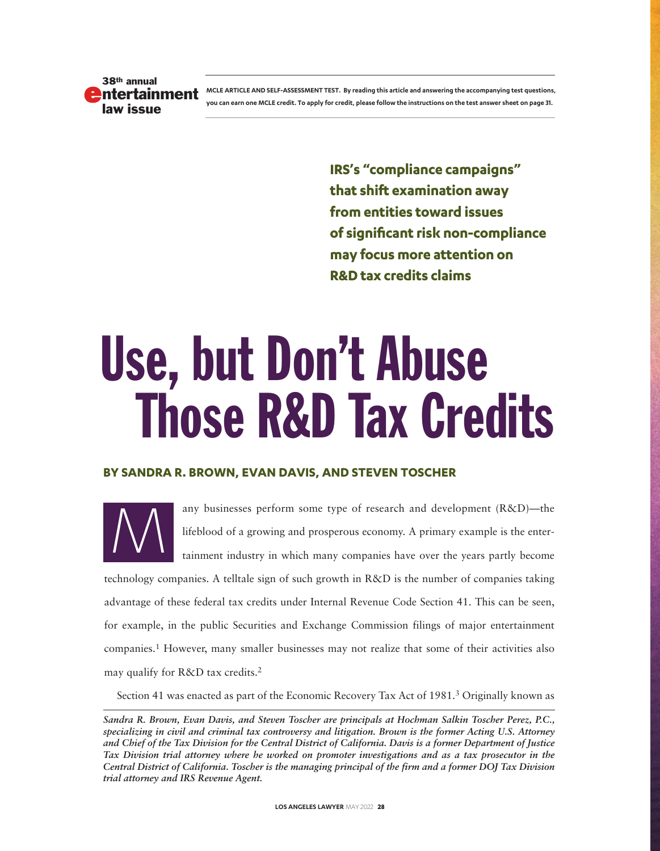**38th annual ntertainment law issue**

**MCLE ARTICLE AND SELF-ASSESSMENT TEST. By reading this article and answering the accompanying test questions,** you can earn one MCLE credit. To apply for credit, please follow the instructions on the test answer sheet on page 31.

> **IRS's "compliance campaigns" that shift examination away from entities toward issues of** significant risk non-compliance **may focus more attention on R&D tax credits claims**

# Use, but Don't Abuse Those R&D Tax Credits

### **BY SANDRA R. BROWN, EVAN DAVIS, AND STEVEN TOSCHER**



any businesses perform some type of research and development (R&D)—the lifeblood of a growing and prosperous economy. A primary example is the entertainment industry in which many companies have over the years partly become

technology companies. A telltale sign of such growth in R&D is the number of companies taking advantage of these federal tax credits under Internal Revenue Code Section 41. This can be seen, for example, in the public Securities and Exchange Commission filings of major entertainment companies. <sup>1</sup> However, many smaller businesses may not realize that some of their activities also may qualify for R&D tax credits. 2

Section 41 was enacted as part of the Economic Recovery Tax Act of 1981.<sup>3</sup> Originally known as

*Sandra R. Brown, Evan Davis, and Steven Toscher are principals at Hochman Salkin Toscher Perez, P.C., specializing in civil and criminal tax controversy and litigation. Brown is the former Acting U.S. Attorney* and Chief of the Tax Division for the Central District of California. Davis is a former Department of Justice *Tax Division trial attorney where he worked on promoter investigations and as a tax prosecutor in the* Central District of California. Toscher is the managing principal of the firm and a former DOJ Tax Division *trial attorney and IRS Revenue Agent.*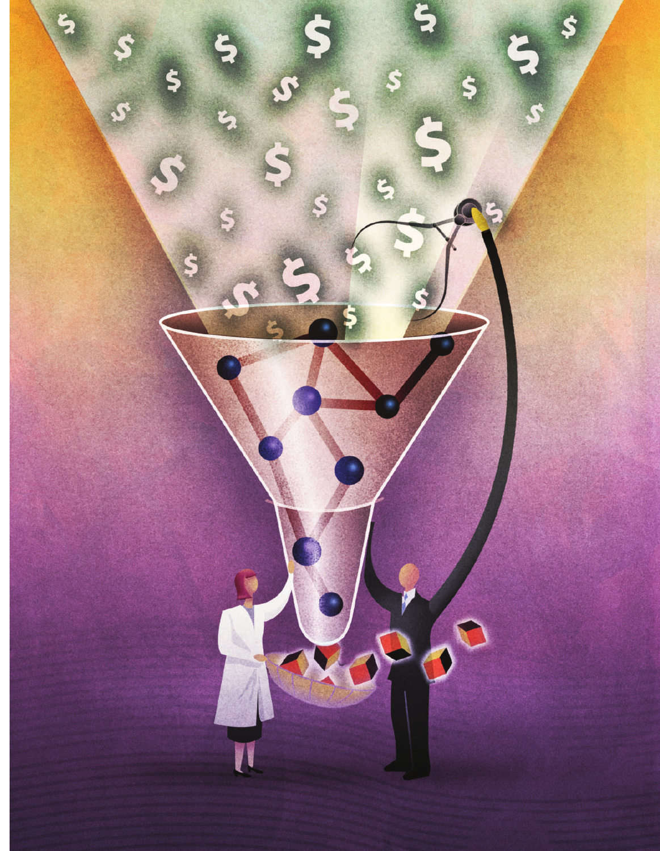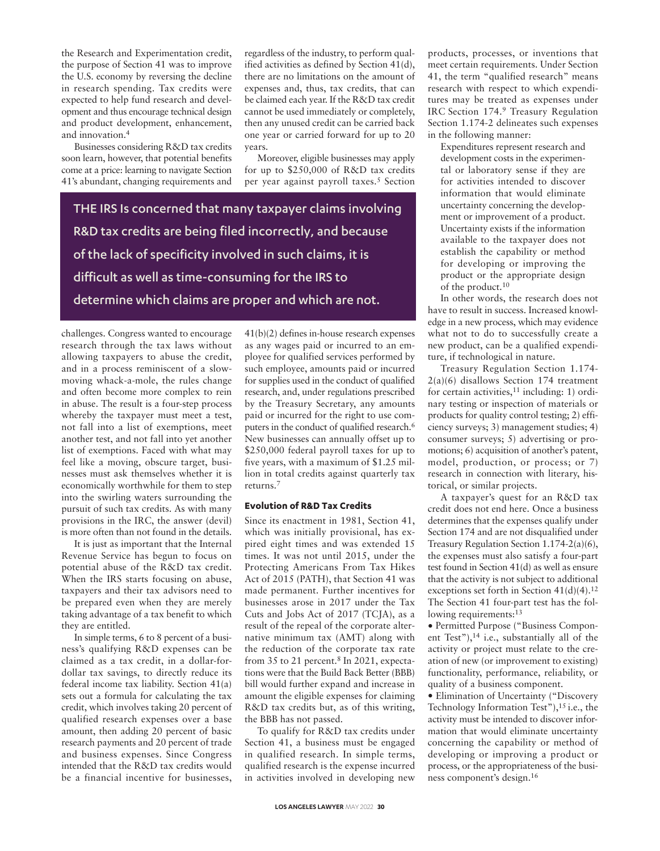the Research and Experimentation credit, the purpose of Section 41 was to improve the U.S. economy by reversing the decline in research spending. Tax credits were expected to help fund research and development and thus encourage technical design and product development, enhancement, and innovation. 4

Businesses considering R&D tax credits soon learn, however, that potential benefits come at a price: learning to navigate Section 41's abundant, changing requirements and regardless of the industry, to perform qualified activities as defined by Section 41(d), there are no limitations on the amount of expenses and, thus, tax credits, that can be claimed each year. If the R&D tax credit cannot be used immediately or completely, then any unused credit can be carried back one year or carried forward for up to 20 years.

Moreover, eligible businesses may apply for up to \$250,000 of R&D tax credits per year against payroll taxes.5 Section

THE IRS Is concerned that many taxpayer claims involving R&D tax credits are being filed incorrectly, and because of the lack of specificity involved in such claims, it is difficult as well astime-consuming for the IRS to determine which claims are proper and which are not.

challenges. Congress wanted to encourage research through the tax laws without allowing taxpayers to abuse the credit, and in a process reminiscent of a slowmoving whack-a-mole, the rules change and often become more complex to rein in abuse. The result is a four-step process whereby the taxpayer must meet a test, not fall into a list of exemptions, meet another test, and not fall into yet another list of exemptions. Faced with what may feel like a moving, obscure target, businesses must ask themselves whether it is economically worthwhile for them to step into the swirling waters surrounding the pursuit of such tax credits. As with many provisions in the IRC, the answer (devil) is more often than not found in the details.

It is just as important that the Internal Revenue Service has begun to focus on potential abuse of the R&D tax credit. When the IRS starts focusing on abuse, taxpayers and their tax advisors need to be prepared even when they are merely taking advantage of a tax benefit to which they are entitled.

In simple terms, 6 to 8 percent of a business's qualifying R&D expenses can be claimed as a tax credit, in a dollar-fordollar tax savings, to directly reduce its federal income tax liability. Section 41(a) sets out a formula for calculating the tax credit, which involves taking 20 percent of qualified research expenses over a base amount, then adding 20 percent of basic research payments and 20 percent of trade and business expenses. Since Congress intended that the R&D tax credits would be a financial incentive for businesses, 41(b)(2) defines in-house research expenses as any wages paid or incurred to an employee for qualified services performed by such employee, amounts paid or incurred for supplies used in the conduct of qualified research, and, under regulations prescribed by the Treasury Secretary, any amounts paid or incurred for the right to use computers in the conduct of qualified research. 6 New businesses can annually offset up to \$250,000 federal payroll taxes for up to five years, with a maximum of \$1.25 million in total credits against quarterly tax returns. 7

#### **Evolution of R&D Tax Credits**

Since its enactment in 1981, Section 41, which was initially provisional, has expired eight times and was extended 15 times. It was not until 2015, under the Protecting Americans From Tax Hikes Act of 2015 (PATH), that Section 41 was made permanent. Further incentives for businesses arose in 2017 under the Tax Cuts and Jobs Act of 2017 (TCJA), as a result of the repeal of the corporate alternative minimum tax (AMT) along with the reduction of the corporate tax rate from 35 to 21 percent. <sup>8</sup> In 2021, expectations were that the Build Back Better (BBB) bill would further expand and increase in amount the eligible expenses for claiming R&D tax credits but, as of this writing, the BBB has not passed.

To qualify for R&D tax credits under Section 41, a business must be engaged in qualified research. In simple terms, qualified research is the expense incurred in activities involved in developing new

products, processes, or inventions that meet certain requirements. Under Section 41, the term "qualified research" means research with respect to which expenditures may be treated as expenses under IRC Section 174.9 Treasury Regulation Section 1.174-2 delineates such expenses in the following manner:

Expenditures represent research and development costs in the experimental or laboratory sense if they are for activities intended to discover information that would eliminate uncertainty concerning the development or improvement of a product. Uncertainty exists if the information available to the taxpayer does not establish the capability or method for developing or improving the product or the appropriate design of the product. 10

In other words, the research does not have to result in success. Increased knowledge in a new process, which may evidence what not to do to successfully create a new product, can be a qualified expenditure, if technological in nature.

Treasury Regulation Section 1.174- 2(a)(6) disallows Section 174 treatment for certain activities, <sup>11</sup> including: 1) ordinary testing or inspection of materials or products for quality control testing; 2) efficiency surveys; 3) management studies; 4) consumer surveys; 5) advertising or promotions; 6) acquisition of another's patent, model, production, or process; or 7) research in connection with literary, historical, or similar projects.

A taxpayer's quest for an R&D tax credit does not end here. Once a business determines that the expenses qualify under Section 174 and are not disqualified under Treasury Regulation Section 1.174-2(a)(6), the expenses must also satisfy a four-part test found in Section 41(d) as well as ensure that the activity is not subject to additional exceptions set forth in Section 41(d)(4). 12 The Section 41 four-part test has the following requirements: 13

**•** Permitted Purpose ("Business Component Test"), <sup>14</sup> i.e., substantially all of the activity or project must relate to the creation of new (or improvement to existing) functionality, performance, reliability, or quality of a business component.

**•** Elimination of Uncertainty ("Discovery Technology Information Test"), <sup>15</sup> i.e., the activity must be intended to discover information that would eliminate uncertainty concerning the capability or method of developing or improving a product or process, or the appropriateness of the business component's design. 16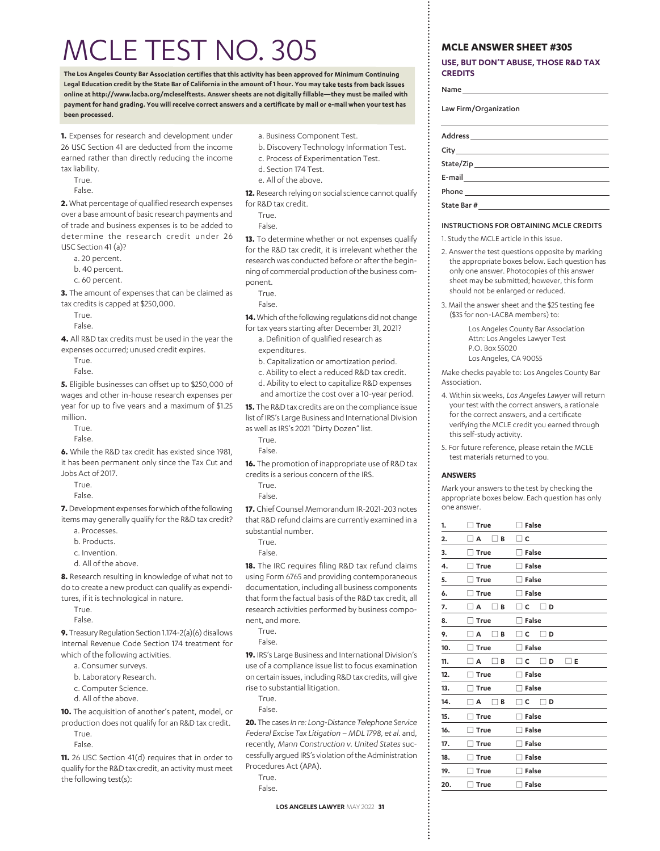## $MCLE TEST NO.305$  MCLE TEST NO.

**The Los Angeles County Bar Association certifies that this activity has been approved for Minimum Continuing** Legal Education credit by the State Bar of California in the amount of 1 hour. You may take tests from back issues **online at http://www.lacba.org/mcleselftests. Answer sheets are not digitally fillable—they must be mailed with** payment for hand grading. You will receive correct answers and a certificate by mail or e-mail when your test has **been processed.**

**1.** Expenses for research and development under 26 USC Section 41 are deducted from the income earned rather than directly reducing the income tax liability.

- True.
- False.

**2.** What percentage of qualified research expenses over a base amount of basic research payments and of trade and business expenses is to be added to determine the research credit under 26 USC Section 41 (a)?

- a. 20 percent.
- b. 40 percent.
- c. 60 percent.

**3.** The amount of expenses that can be claimed as tax credits is capped at \$250,000.

True.

False.

**4.** All R&D tax credits must be used in the year the expenses occurred; unused credit expires.

True. False.

**5.** Eligible businesses can offset up to \$250,000 of wages and other in-house research expenses per year for up to five years and a maximum of \$1.25 million.

- True.
- False.

**6.** While the R&D tax credit has existed since 1981, it has been permanent only since the Tax Cut and Jobs Act of 2017.

- True.
- False.

**7.** Development expenses for which of the following items may generally qualify for the R&D tax credit?

- a. Processes.
- b. Products.
- c. Invention.
- d. All of the above.

**8.** Research resulting in knowledge of what not to do to create a new product can qualify as expenditures, if it is technological in nature.

True.

False.

**9.** Treasury Regulation Section 1.174-2(a)(6) disallows Internal Revenue Code Section 174 treatment for which of the following activities.

a. Consumer surveys.

- b. Laboratory Research.
- c. Computer Science.

d. All of the above.

**10.** The acquisition of another's patent, model, or production does not qualify for an R&D tax credit. True.

False.

**11.** 26 USC Section 41(d) requires that in order to

qualify for the R&D tax credit, an activity must meet the following test(s):

- a. Business Component Test.
- b. Discovery Technology Information Test.
- c. Process of Experimentation Test.
- d. Section 174 Test.
- e. All of the above.

**12.** Research relying on social science cannot qualify for R&D tax credit.

- True.
- False.

**13.** To determine whether or not expenses qualify for the R&D tax credit, it is irrelevant whether the research was conducted before or after the beginning of commercial production of the business component.

- True.
- False.
- **14.** Which of the following regulations did not change
- for tax years starting after December 31, 2021? a. Definition of qualified research as
	- expenditures.
	- b. Capitalization or amortization period.
	- c. Ability to elect a reduced R&D tax credit.
	- d. Ability to elect to capitalize R&D expenses
	- and amortize the cost over a 10-year period.

**15.** The R&D tax credits are on the compliance issue list of IRS's Large Business and International Division as well as IRS's 2021 "Dirty Dozen" list.

True.

- False.
- **16.** The promotion of inappropriate use of R&D tax credits is a serious concern of the IRS.
	- True.
	- False.

**17.** Chief Counsel Memorandum IR-2021-203 notes that R&D refund claims are currently examined in a substantial number.

True.

False.

**18.** The IRC requires filing R&D tax refund claims using Form 6765 and providing contemporaneous documentation, including all business components that form the factual basis of the R&D tax credit, all research activities performed by business component, and more.

- True.
- False.

19. IRS's Large Business and International Division's use of a compliance issue list to focus examination on certain issues, including R&D tax credits, will give rise to substantial litigation.

- True.
- False.

**20.** The cases*Inre: Long-Distance Telephone Service Federal Excise Tax Litigation –MDL 1798, et al.* and, recently, *Mann Construction v. United States* successfully argued IRS's violation of the Administration Procedures Act (APA).

True.

#### **USE, BUT DON'T ABUSE, THOSE R&D TAX CREDITS**

Name

Law Firm/Organization

| State Bar# |  |
|------------|--|
|            |  |

#### INSTRUCTIONS FOR OBTAINING MCLE CREDITS

1. Study the MCLE article in this issue.

- 2. Answer the test questions opposite by marking the appropriate boxes below. Each question has only one answer. Photocopies of this answer sheet may be submitted; however, this form should not be enlarged or reduced.
- 3. Mail the answer sheet and the \$25 testing fee (\$35 for non-LACBA members) to:

 Los Angeles County Bar Association Attn: Los Angeles Lawyer Test P.O. Box 55020 Los Angeles, CA 90055

Make checks payable to: Los Angeles County Bar Association.

- 4. Within six weeks, *Los Angeles Lawyer* will return your test with the correct answers, a rationale for the correct answers, and a certificate verifying the MCLE credit you earned through this self-study activity.
- 5. For future reference, please retain the MCLE test materials returned to you.

#### **ANSWERS**

Mark your answers to the test by checking the appropriate boxes below. Each question has only one answer.

| 1.  | True                 | False                        |  |  |
|-----|----------------------|------------------------------|--|--|
| 2.  | ΠΒ<br>I I A          | C<br>П                       |  |  |
| 3.  | $\sqsupset$ True     | False                        |  |  |
| 4.  | True                 | <b>False</b><br>$\mathbf{L}$ |  |  |
| 5.  | True<br>$\mathbf{L}$ | False<br>п                   |  |  |
| 6.  | True                 | False                        |  |  |
| 7.  | □▲<br>□Β             | $\Box$ D<br>$\Box$ c         |  |  |
| 8.  | $\Box$ True          | <b>False</b>                 |  |  |
| 9.  | ΠΒ<br>ΠΑ             | ם ⊡<br>П<br>c                |  |  |
| 10. | $\Box$ True          | False                        |  |  |
| 11. | ΠΑ<br>ΠΒ             | c<br>⊟ d<br>□ E<br>П         |  |  |
| 12. | $\Box$ True          | False<br>П                   |  |  |
| 13. | $\Box$ True          | False                        |  |  |
| 14. | $\Box$ B<br>ΠΑ       | $\Box$ D<br>п<br>$\mathbf C$ |  |  |
| 15. | True                 | <b>False</b>                 |  |  |
| 16. | True                 | False                        |  |  |
| 17. | True                 | False                        |  |  |
| 18. | True                 | <b>False</b>                 |  |  |
| 19. | True                 | <b>False</b>                 |  |  |
| 20. | True                 | False<br>П                   |  |  |
|     |                      |                              |  |  |

False.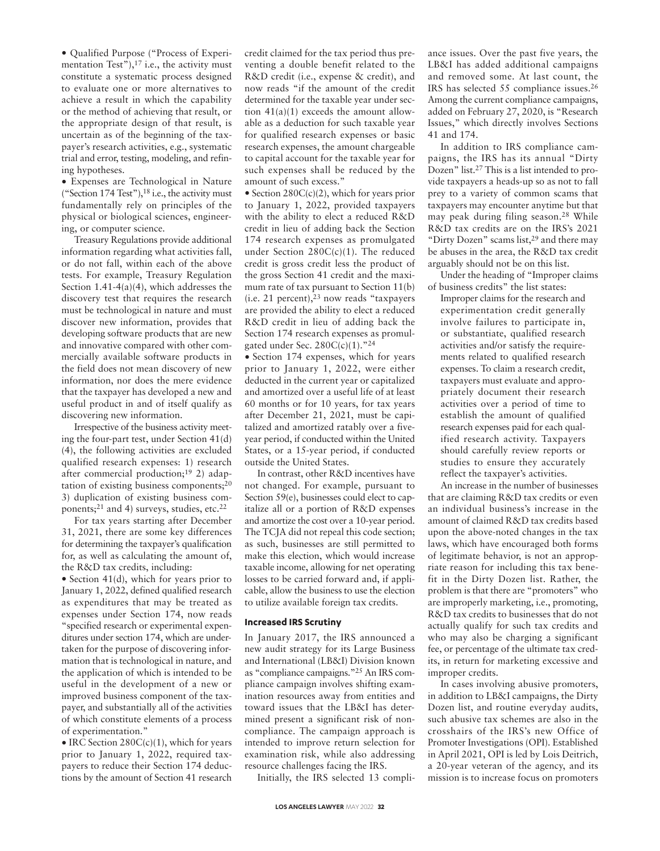**•** Qualified Purpose ("Process of Experimentation Test"), <sup>17</sup> i.e., the activity must constitute a systematic process designed to evaluate one or more alternatives to achieve a result in which the capability or the method of achieving that result, or the appropriate design of that result, is uncertain as of the beginning of the taxpayer's research activities, e.g., systematic trial and error, testing, modeling, and refining hypotheses.

**•** Expenses are Technological in Nature ("Section 174 Test"), $18$  i.e., the activity must fundamentally rely on principles of the physical or biological sciences, engineering, or computer science.

Treasury Regulations provide additional information regarding what activities fall, or do not fall, within each of the above tests. For example, Treasury Regulation Section 1.41-4(a)(4), which addresses the discovery test that requires the research must be technological in nature and must discover new information, provides that developing software products that are new and innovative compared with other commercially available software products in the field does not mean discovery of new information, nor does the mere evidence that the taxpayer has developed a new and useful product in and of itself qualify as discovering new information.

Irrespective of the business activity meeting the four-part test, under Section 41(d) (4), the following activities are excluded qualified research expenses: 1) research after commercial production; <sup>19</sup> 2) adaptation of existing business components; 20 3) duplication of existing business components; <sup>21</sup> and 4) surveys, studies, etc. 22

For tax years starting after December 31, 2021, there are some key differences for determining the taxpayer's qualification for, as well as calculating the amount of, the R&D tax credits, including:

• Section 41(d), which for years prior to January 1, 2022, defined qualified research as expenditures that may be treated as expenses under Section 174, now reads "specified research or experimental expenditures under section 174, which are undertaken for the purpose of discovering information that is technological in nature, and the application of which is intended to be useful in the development of a new or improved business component of the taxpayer, and substantially all of the activities of which constitute elements of a process of experimentation."

**•**IRC Section 280C(c)(1), which for years prior to January 1, 2022, required taxpayers to reduce their Section 174 deductions by the amount of Section 41 research credit claimed for the tax period thus preventing a double benefit related to the R&D credit (i.e., expense & credit), and now reads "if the amount of the credit determined for the taxable year under section  $41(a)(1)$  exceeds the amount allowable as a deduction for such taxable year for qualified research expenses or basic research expenses, the amount chargeable to capital account for the taxable year for such expenses shall be reduced by the amount of such excess."

• Section 280C(c)(2), which for years prior to January 1, 2022, provided taxpayers with the ability to elect a reduced R&D credit in lieu of adding back the Section 174 research expenses as promulgated under Section 280C(c)(1). The reduced credit is gross credit less the product of the gross Section 41 credit and the maximum rate of tax pursuant to Section 11(b) (i.e. 21 percent), <sup>23</sup> now reads "taxpayers are provided the ability to elect a reduced R&D credit in lieu of adding back the Section 174 research expenses as promulgated under Sec. 280C(c)(1)."24

**•** Section <sup>174</sup> expenses, which for years prior to January 1, 2022, were either deducted in the current year or capitalized and amortized over a useful life of at least 60 months or for 10 years, for tax years after December 21, 2021, must be capitalized and amortized ratably over a fiveyear period, if conducted within the United States, or a 15-year period, if conducted outside the United States.

In contrast, other R&D incentives have not changed. For example, pursuant to Section 59(e), businesses could elect to capitalize all or a portion of R&D expenses and amortize the cost over a 10-year period. The TCJA did not repeal this code section; as such, businesses are still permitted to make this election, which would increase taxable income, allowing for net operating losses to be carried forward and, if applicable, allow the business to use the election to utilize available foreign tax credits.

#### **Increased IRS Scrutiny**

In January 2017, the IRS announced a new audit strategy for its Large Business and International (LB&I) Division known as "compliance campaigns."25 An IRS compliance campaign involves shifting examination resources away from entities and toward issues that the LB&I has determined present a significant risk of noncompliance. The campaign approach is intended to improve return selection for examination risk, while also addressing resource challenges facing the IRS.

Initially, the IRS selected 13 compli-

ance issues. Over the past five years, the LB&I has added additional campaigns and removed some. At last count, the IRS has selected 55 compliance issues.26 Among the current compliance campaigns, added on February 27, 2020, is "Research Issues," which directly involves Sections 41 and 174.

In addition to IRS compliance campaigns, the IRS has its annual "Dirty Dozen" list. <sup>27</sup> This is a list intended to provide taxpayers a heads-up so as not to fall prey to a variety of common scams that taxpayers may encounter anytime but that may peak during filing season.28 While R&D tax credits are on the IRS's 2021 "Dirty Dozen" scams list, <sup>29</sup> and there may be abuses in the area, the R&D tax credit arguably should not be on this list.

Under the heading of "Improper claims of business credits" the list states:

Improper claims for the research and experimentation credit generally involve failures to participate in, or substantiate, qualified research activities and/or satisfy the requirements related to qualified research expenses. To claim a research credit, taxpayers must evaluate and appropriately document their research activities over a period of time to establish the amount of qualified research expenses paid for each qualified research activity. Taxpayers should carefully review reports or studies to ensure they accurately reflect the taxpayer's activities.

An increase in the number of businesses that are claiming R&D tax credits or even an individual business's increase in the amount of claimed R&D tax credits based upon the above-noted changes in the tax laws, which have encouraged both forms of legitimate behavior, is not an appropriate reason for including this tax benefit in the Dirty Dozen list. Rather, the problem is that there are "promoters" who are improperly marketing, i.e., promoting, R&D tax credits to businesses that do not actually qualify for such tax credits and who may also be charging a significant fee, or percentage of the ultimate tax credits, in return for marketing excessive and improper credits.

In cases involving abusive promoters, in addition to LB&I campaigns, the Dirty Dozen list, and routine everyday audits, such abusive tax schemes are also in the crosshairs of the IRS's new Office of Promoter Investigations (OPI). Established in April 2021, OPI is led by Lois Deitrich, a 20-year veteran of the agency, and its mission is to increase focus on promoters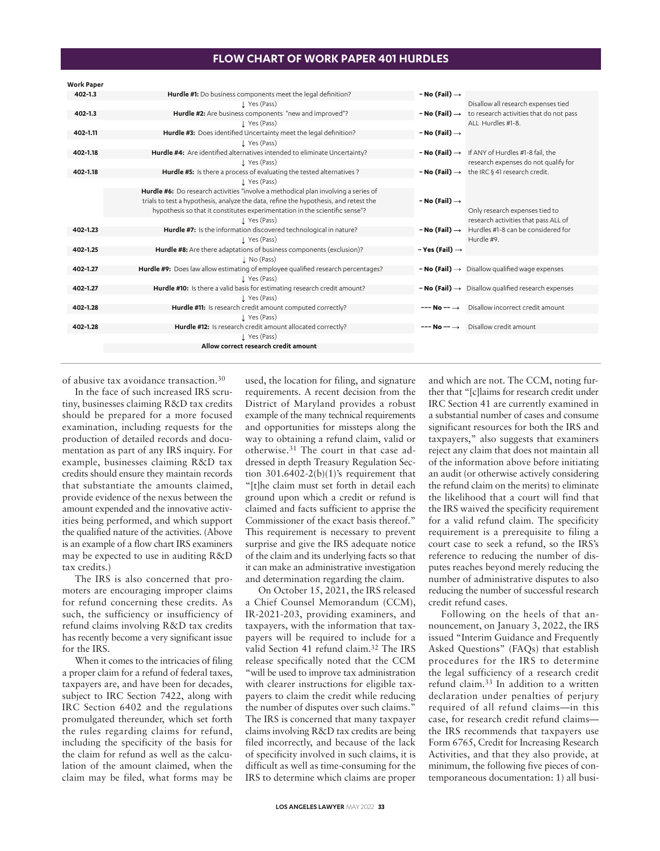#### **FLOW CHART OF WORK PAPER 401 HURDLES**

| <b>Work Paper</b> |                                                                                                               |                             |                                                                          |
|-------------------|---------------------------------------------------------------------------------------------------------------|-----------------------------|--------------------------------------------------------------------------|
| $402 - 1.3$       | Hurdle #1: Do business components meet the legal definition?                                                  |                             |                                                                          |
|                   | J Yes (Pass)                                                                                                  |                             | Disallow all research expenses tied                                      |
| $402 - 1.3$       | Hurdle #2: Are business components "new and improved"?                                                        |                             | to research activities that do not pass                                  |
|                   | L Yes (Pass)                                                                                                  |                             | ALL Hurdles #1-8.                                                        |
| 402-1.11          | Hurdle #3: Does identified Uncertainty meet the legal definition?                                             | $-$ No (Fail) $\rightarrow$ |                                                                          |
|                   | L Yes (Pass)                                                                                                  |                             |                                                                          |
| 402-1.18          | Hurdle #4: Are identified alternatives intended to eliminate Uncertainty?                                     | – No (Fail) $\rightarrow$   | If ANY of Hurdles #1-8 fail, the<br>research expenses do not qualify for |
|                   | L Yes (Pass)                                                                                                  |                             |                                                                          |
| 402-1.18          | Hurdle #5: Is there a process of evaluating the tested alternatives?                                          |                             | <b>- No (Fail)</b> $\rightarrow$ the IRC § 41 research credit.           |
|                   | L Yes (Pass)                                                                                                  |                             |                                                                          |
|                   | Hurdle #6: Do research activities "involve a methodical plan involving a series of                            |                             |                                                                          |
|                   | trials to test a hypothesis, analyze the data, refine the hypothesis, and retest the                          | $-$ No (Fail) $\rightarrow$ |                                                                          |
|                   | hypothesis so that it constitutes experimentation in the scientific sense"?                                   |                             | Only research expenses tied to                                           |
|                   | L Yes (Pass)                                                                                                  |                             | research activities that pass ALL of                                     |
| 402-1.23          | Hurdle #7: Is the information discovered technological in nature?                                             | – No (Fail) $\rightarrow$   | Hurdles #1-8 can be considered for<br>Hurdle #9.                         |
|                   | L Yes (Pass)                                                                                                  |                             |                                                                          |
| 402-1.25          | Hurdle #8: Are there adaptations of business components (exclusion)?                                          | – Yes (Fail) $\rightarrow$  |                                                                          |
|                   | J. No (Pass)                                                                                                  |                             |                                                                          |
| 402-1.27          | Hurdle #9: Does law allow estimating of employee qualified research percentages?<br>– No (Fail) $\rightarrow$ |                             | Disallow qualified wage expenses                                         |
|                   | L Yes (Pass)                                                                                                  |                             |                                                                          |
| 402-1.27          | Hurdle #10: Is there a valid basis for estimating research credit amount?                                     | $-$ No (Fail) $\rightarrow$ | Disallow qualified research expenses                                     |
|                   | I. Yes (Pass)                                                                                                 |                             |                                                                          |
| 402-1.28          | Hurdle #11: Is research credit amount computed correctly?<br>--- No -- →                                      |                             | Disallow incorrect credit amount                                         |
|                   | J Yes (Pass)                                                                                                  |                             |                                                                          |
| 402-1.28          | Hurdle #12: Is research credit amount allocated correctly?                                                    | $--- No ---$                | Disallow credit amount                                                   |
|                   | I Yes (Pass)                                                                                                  |                             |                                                                          |
|                   | Allow correct research credit amount                                                                          |                             |                                                                          |
|                   |                                                                                                               |                             |                                                                          |

of abusive tax avoidance transaction.30

In the face of such increased IRS scrutiny, businesses claiming R&D tax credits should be prepared for a more focused examination, including requests for the production of detailed records and documentation as part of any IRS inquiry. For example, businesses claiming R&D tax credits should ensure they maintain records that substantiate the amounts claimed, provide evidence of the nexus between the amount expended and the innovative activities being performed, and which support the qualified nature of the activities. (Above is an example of a flow chart IRS examiners may be expected to use in auditing R&D tax credits.)

The IRS is also concerned that promoters are encouraging improper claims for refund concerning these credits. As such, the sufficiency or insufficiency of refund claims involving R&D tax credits has recently become a very significant issue for the IRS.

When it comes to the intricacies of filing a proper claim for a refund of federal taxes, taxpayers are, and have been for decades, subject to IRC Section 7422, along with IRC Section 6402 and the regulations promulgated thereunder, which set forth the rules regarding claims for refund, including the specificity of the basis for the claim for refund as well as the calculation of the amount claimed, when the claim may be filed, what forms may be

used, the location for filing, and signature requirements. A recent decision from the District of Maryland provides a robust example of the many technical requirements and opportunities for missteps along the way to obtaining a refund claim, valid or otherwise.31 The court in that case addressed in depth Treasury Regulation Section  $301.6402 - 2(b)(1)$ 's requirement that "[t]he claim must set forth in detail each ground upon which a credit or refund is claimed and facts sufficient to apprise the Commissioner of the exact basis thereof." This requirement is necessary to prevent surprise and give the IRS adequate notice of the claim and its underlying facts so that it can make an administrative investigation and determination regarding the claim.

On October 15, 2021, the IRS released a Chief Counsel Memorandum (CCM), IR-2021-203, providing examiners, and taxpayers, with the information that taxpayers will be required to include for a valid Section 41 refund claim. <sup>32</sup> The IRS release specifically noted that the CCM "will be used to improve tax administration with clearer instructions for eligible taxpayers to claim the credit while reducing the number of disputes over such claims.' The IRS is concerned that many taxpayer claims involving R&D tax credits are being filed incorrectly, and because of the lack of specificity involved in such claims, it is difficult as well as time-consuming for the IRS to determine which claims are proper

and which are not. The CCM, noting further that "[c]laims for research credit under IRC Section 41 are currently examined in a substantial number of cases and consume significant resources for both the IRS and taxpayers," also suggests that examiners reject any claim that does not maintain all of the information above before initiating an audit (or otherwise actively considering the refund claim on the merits) to eliminate the likelihood that a court will find that the IRS waived the specificity requirement for a valid refund claim. The specificity requirement is a prerequisite to filing a court case to seek a refund, so the IRS's reference to reducing the number of disputes reaches beyond merely reducing the number of administrative disputes to also reducing the number of successful research credit refund cases.

Following on the heels of that announcement, on January 3, 2022, the IRS issued "Interim Guidance and Frequently Asked Questions" (FAQs) that establish procedures for the IRS to determine the legal sufficiency of a research credit refund claim.33 In addition to a written declaration under penalties of perjury required of all refund claims—in this case, for research credit refund claims the IRS recommends that taxpayers use Form 6765, Credit for Increasing Research Activities, and that they also provide, at minimum, the following five pieces of contemporaneous documentation: 1) all busi